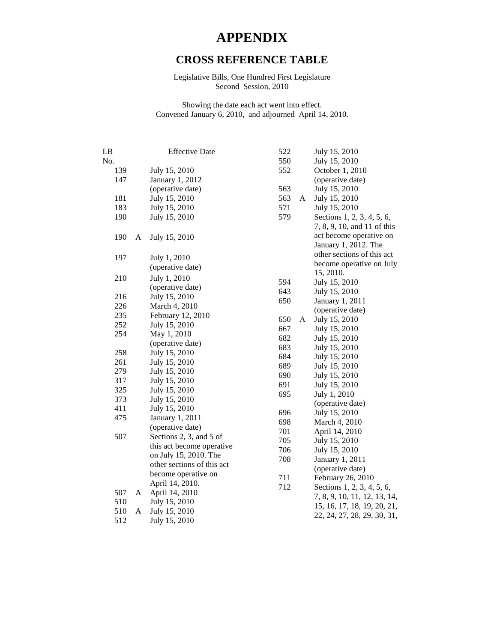## **APPENDIX**

## **CROSS REFERENCE TABLE**

Legislative Bills, One Hundred First Legislature Second Session, 2010

Showing the date each act went into effect. Convened January 6, 2010, and adjourned April 14, 2010.

| LB  |   | <b>Effective Date</b>                               | 522 |   | July 15, 2010                |
|-----|---|-----------------------------------------------------|-----|---|------------------------------|
| No. |   |                                                     | 550 |   | July 15, 2010                |
| 139 |   | July 15, 2010                                       | 552 |   | October 1, 2010              |
| 147 |   | <b>January 1, 2012</b>                              |     |   | (operative date)             |
|     |   | (operative date)                                    | 563 |   | July 15, 2010                |
| 181 |   | July 15, 2010                                       | 563 | A | July 15, 2010                |
| 183 |   | July 15, 2010                                       | 571 |   | July 15, 2010                |
| 190 |   | July 15, 2010                                       | 579 |   | Sections 1, 2, 3, 4, 5, 6,   |
|     |   |                                                     |     |   | 7, 8, 9, 10, and 11 of this  |
| 190 | A | July 15, 2010                                       |     |   | act become operative on      |
|     |   |                                                     |     |   | January 1, 2012. The         |
| 197 |   | July 1, 2010                                        |     |   | other sections of this act   |
|     |   | (operative date)                                    |     |   | become operative on July     |
|     |   |                                                     |     |   | 15, 2010.                    |
| 210 |   | July 1, 2010                                        | 594 |   | July 15, 2010                |
|     |   | (operative date)                                    | 643 |   | July 15, 2010                |
| 216 |   | July 15, 2010                                       | 650 |   | January 1, 2011              |
| 226 |   | March 4, 2010                                       |     |   | (operative date)             |
| 235 |   | February 12, 2010                                   | 650 | A | July 15, 2010                |
| 252 |   | July 15, 2010                                       | 667 |   | July 15, 2010                |
| 254 |   | May 1, 2010                                         | 682 |   | July 15, 2010                |
|     |   | (operative date)                                    | 683 |   | July 15, 2010                |
| 258 |   | July 15, 2010                                       | 684 |   | July 15, 2010                |
| 261 |   | July 15, 2010                                       | 689 |   | July 15, 2010                |
| 279 |   | July 15, 2010                                       | 690 |   | July 15, 2010                |
| 317 |   | July 15, 2010                                       | 691 |   | July 15, 2010                |
| 325 |   | July 15, 2010                                       | 695 |   | July 1, 2010                 |
| 373 |   | July 15, 2010                                       |     |   | (operative date)             |
| 411 |   | July 15, 2010                                       | 696 |   | July 15, 2010                |
| 475 |   | January 1, 2011                                     | 698 |   | March 4, 2010                |
|     |   | (operative date)                                    | 701 |   | April 14, 2010               |
| 507 |   | Sections 2, 3, and 5 of                             | 705 |   | July 15, 2010                |
|     |   | this act become operative                           | 706 |   | July 15, 2010                |
|     |   | on July 15, 2010. The<br>other sections of this act | 708 |   | January 1, 2011              |
|     |   | become operative on                                 |     |   | (operative date)             |
|     |   |                                                     | 711 |   | February 26, 2010            |
| 507 |   | April 14, 2010.                                     | 712 |   | Sections 1, 2, 3, 4, 5, 6,   |
| 510 | A | April 14, 2010                                      |     |   | 7, 8, 9, 10, 11, 12, 13, 14, |
| 510 | A | July 15, 2010<br>July 15, 2010                      |     |   | 15, 16, 17, 18, 19, 20, 21,  |
| 512 |   | July 15, 2010                                       |     |   | 22, 24, 27, 28, 29, 30, 31,  |
|     |   |                                                     |     |   |                              |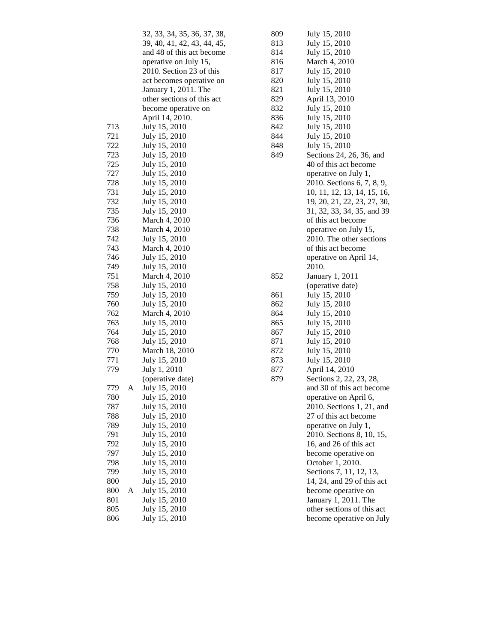|     |   | 32, 33, 34, 35, 36, 37, 38, |
|-----|---|-----------------------------|
|     |   | 39, 40, 41, 42, 43, 44, 45, |
|     |   | and 48 of this act become   |
|     |   | operative on July 15,       |
|     |   | 2010. Section 23 of this    |
|     |   |                             |
|     |   | act becomes operative on    |
|     |   | January 1, 2011. The        |
|     |   | other sections of this act  |
|     |   | become operative on         |
|     |   | April 14, 2010.             |
| 713 |   | July 15, 2010               |
| 721 |   | July 15, 2010               |
| 722 |   | July 15, 2010               |
| 723 |   | July 15, 2010               |
| 725 |   | July 15, 2010               |
| 727 |   | July 15, 2010               |
| 728 |   | July 15, 2010               |
| 731 |   | July 15, 2010               |
| 732 |   | July 15, 2010               |
| 735 |   | July 15, 2010               |
| 736 |   |                             |
|     |   | March 4, 2010               |
| 738 |   | March 4, 2010               |
| 742 |   | July 15, 2010               |
| 743 |   | March 4, 2010               |
| 746 |   | July 15, 2010               |
| 749 |   | July 15, 2010               |
| 751 |   | March 4, 2010               |
| 758 |   | July 15, 2010               |
| 759 |   | July 15, 2010               |
| 760 |   | July 15, 2010               |
| 762 |   | March 4, 2010               |
| 763 |   | July 15, 2010               |
| 764 |   | July 15, 2010               |
| 768 |   | July 15, 2010               |
| 770 |   | March 18, 2010              |
| 771 |   | July 15, 2010               |
| 779 |   | July 1, 2010                |
|     |   | (operative date)            |
| 779 | A | July 15, 2010               |
| 780 |   | July 15, 2010               |
| 787 |   | July 15, 2010               |
| 788 |   | July 15, 2010               |
| 789 |   | July 15, 2010               |
| 791 |   | July 15, 2010               |
| 792 |   |                             |
|     |   | July 15, 2010               |
| 797 |   | July 15, 2010               |
| 798 |   | July 15, 2010               |
| 799 |   | July 15, 2010               |
| 800 |   | July 15, 2010               |
| 800 | А | July 15, 2010               |
| 801 |   | July 15, 2010               |
| 805 |   | July 15, 2010               |
| 806 |   | July 15, 2010               |
|     |   |                             |

| 809 | July 15, 2010                                          |
|-----|--------------------------------------------------------|
| 813 | July 15, 2010                                          |
| 814 | July 15, 2010                                          |
| 816 | March 4, 2010                                          |
| 817 | July 15, 2010                                          |
| 820 | July 15, 2010                                          |
| 821 | July 15, 2010                                          |
| 829 | April 13, 2010                                         |
| 832 | July 15, 2010                                          |
| 836 | July 15, 2010                                          |
| 842 | July 15, 2010                                          |
| 844 | July 15, 2010                                          |
| 848 | July 15, 2010                                          |
| 849 | Sections 24, 26, 36, and                               |
|     | 40 of this act become                                  |
|     | operative on July 1,                                   |
|     |                                                        |
|     | 2010. Sections 6, 7, 8, 9,                             |
|     | 10, 11, 12, 13, 14, 15, 16,                            |
|     | 19, 20, 21, 22, 23, 27, 30,                            |
|     | 31, 32, 33, 34, 35, and 39                             |
|     | of this act become                                     |
|     | operative on July 15,                                  |
|     | 2010. The other sections                               |
|     | of this act become                                     |
|     | operative on April 14,                                 |
|     | 2010.                                                  |
|     |                                                        |
| 852 | January 1, 2011                                        |
|     | (operative date)                                       |
| 861 | July 15, 2010                                          |
| 862 | July 15, 2010                                          |
| 864 | July 15, 2010                                          |
| 865 | July 15, 2010                                          |
| 867 | July 15, 2010                                          |
| 871 | July 15, 2010                                          |
| 872 | July 15, 2010                                          |
| 873 | July 15, 2010                                          |
| 877 | April 14, 2010                                         |
| 879 | Sections 2, 22, 23, 28,                                |
|     | and 30 of this act become                              |
|     | operative on April 6,                                  |
|     | 2010. Sections 1, 21, and                              |
|     | 27 of this act become                                  |
|     | operative on July 1,                                   |
|     | 2010. Sections 8, 10, 15,                              |
|     | 16, and 26 of this act                                 |
|     | become operative on                                    |
|     | October 1, 2010.                                       |
|     | Sections 7, 11, 12, 13,                                |
|     | 14, 24, and 29 of this act                             |
|     | become operative on                                    |
|     | January 1, 2011. The                                   |
|     | other sections of this act<br>become operative on July |